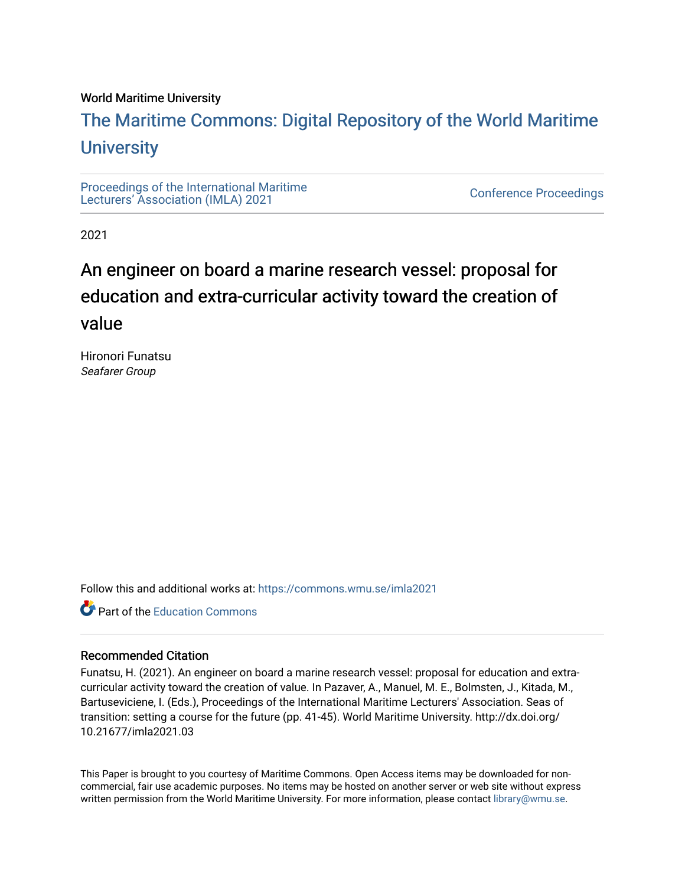#### World Maritime University

## [The Maritime Commons: Digital Repository of the World Maritime](https://commons.wmu.se/)  **University**

[Proceedings of the International Maritime](https://commons.wmu.se/imla2021)  Proceedings of the international manufacture<br>[Lecturers' Association \(IMLA\) 2021](https://commons.wmu.se/imla2021)

2021

# An engineer on board a marine research vessel: proposal for education and extra-curricular activity toward the creation of value

Hironori Funatsu Seafarer Group

Follow this and additional works at: [https://commons.wmu.se/imla2021](https://commons.wmu.se/imla2021?utm_source=commons.wmu.se%2Fimla2021%2F4&utm_medium=PDF&utm_campaign=PDFCoverPages)

Part of the [Education Commons](http://network.bepress.com/hgg/discipline/784?utm_source=commons.wmu.se%2Fimla2021%2F4&utm_medium=PDF&utm_campaign=PDFCoverPages)

#### Recommended Citation

Funatsu, H. (2021). An engineer on board a marine research vessel: proposal for education and extracurricular activity toward the creation of value. In Pazaver, A., Manuel, M. E., Bolmsten, J., Kitada, M., Bartuseviciene, I. (Eds.), Proceedings of the International Maritime Lecturers' Association. Seas of transition: setting a course for the future (pp. 41-45). World Maritime University. http://dx.doi.org/ 10.21677/imla2021.03

This Paper is brought to you courtesy of Maritime Commons. Open Access items may be downloaded for noncommercial, fair use academic purposes. No items may be hosted on another server or web site without express written permission from the World Maritime University. For more information, please contact [library@wmu.se](mailto:library@wmu.edu).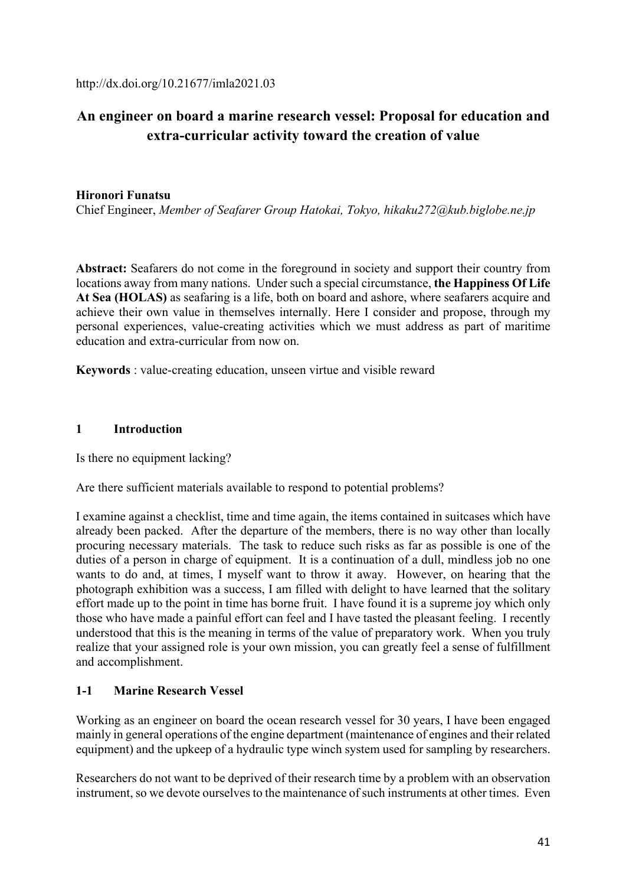## **An engineer on board a marine research vessel: Proposal for education and extra-curricular activity toward the creation of value**

#### **Hironori Funatsu**

Chief Engineer, *Member of Seafarer Group Hatokai, Tokyo, hikaku272@kub.biglobe.ne.jp* 

**Abstract:** Seafarers do not come in the foreground in society and support their country from locations away from many nations. Under such a special circumstance, **the Happiness Of Life At Sea (HOLAS)** as seafaring is a life, both on board and ashore, where seafarers acquire and achieve their own value in themselves internally. Here I consider and propose, through my personal experiences, value-creating activities which we must address as part of maritime education and extra-curricular from now on.

**Keywords** : value-creating education, unseen virtue and visible reward

#### **1 Introduction**

Is there no equipment lacking?

Are there sufficient materials available to respond to potential problems?

I examine against a checklist, time and time again, the items contained in suitcases which have already been packed. After the departure of the members, there is no way other than locally procuring necessary materials. The task to reduce such risks as far as possible is one of the duties of a person in charge of equipment. It is a continuation of a dull, mindless job no one wants to do and, at times, I myself want to throw it away. However, on hearing that the photograph exhibition was a success, I am filled with delight to have learned that the solitary effort made up to the point in time has borne fruit. I have found it is a supreme joy which only those who have made a painful effort can feel and I have tasted the pleasant feeling. I recently understood that this is the meaning in terms of the value of preparatory work. When you truly realize that your assigned role is your own mission, you can greatly feel a sense of fulfillment and accomplishment.

#### **1-1 Marine Research Vessel**

Working as an engineer on board the ocean research vessel for 30 years, I have been engaged mainly in general operations of the engine department (maintenance of engines and their related equipment) and the upkeep of a hydraulic type winch system used for sampling by researchers.

Researchers do not want to be deprived of their research time by a problem with an observation instrument, so we devote ourselves to the maintenance of such instruments at other times. Even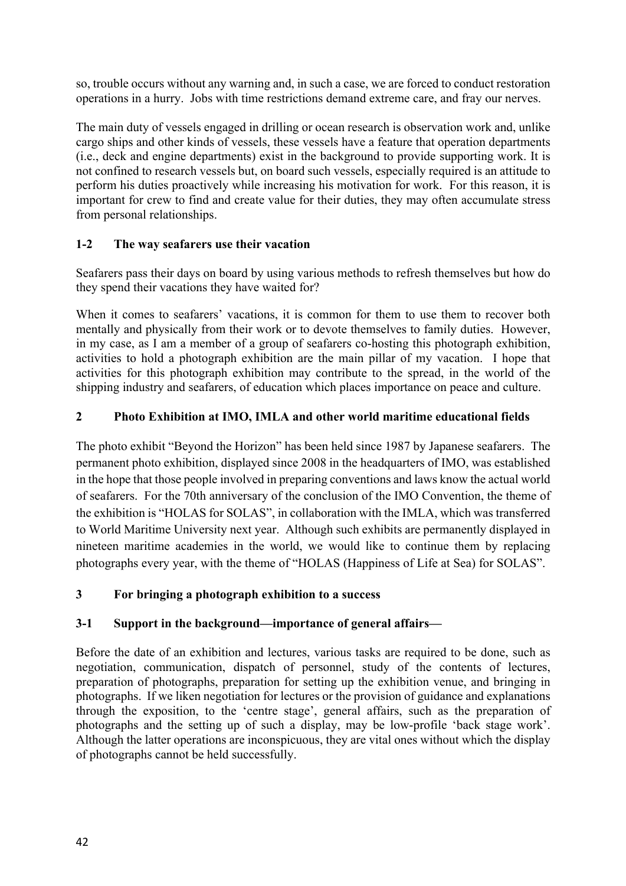so, trouble occurs without any warning and, in such a case, we are forced to conduct restoration operations in a hurry. Jobs with time restrictions demand extreme care, and fray our nerves.

The main duty of vessels engaged in drilling or ocean research is observation work and, unlike cargo ships and other kinds of vessels, these vessels have a feature that operation departments (i.e., deck and engine departments) exist in the background to provide supporting work. It is not confined to research vessels but, on board such vessels, especially required is an attitude to perform his duties proactively while increasing his motivation for work. For this reason, it is important for crew to find and create value for their duties, they may often accumulate stress from personal relationships.

### **1-2 The way seafarers use their vacation**

Seafarers pass their days on board by using various methods to refresh themselves but how do they spend their vacations they have waited for?

When it comes to seafarers' vacations, it is common for them to use them to recover both mentally and physically from their work or to devote themselves to family duties. However, in my case, as I am a member of a group of seafarers co-hosting this photograph exhibition, activities to hold a photograph exhibition are the main pillar of my vacation. I hope that activities for this photograph exhibition may contribute to the spread, in the world of the shipping industry and seafarers, of education which places importance on peace and culture.

## **2 Photo Exhibition at IMO, IMLA and other world maritime educational fields**

The photo exhibit "Beyond the Horizon" has been held since 1987 by Japanese seafarers. The permanent photo exhibition, displayed since 2008 in the headquarters of IMO, was established in the hope that those people involved in preparing conventions and laws know the actual world of seafarers. For the 70th anniversary of the conclusion of the IMO Convention, the theme of the exhibition is "HOLAS for SOLAS", in collaboration with the IMLA, which was transferred to World Maritime University next year. Although such exhibits are permanently displayed in nineteen maritime academies in the world, we would like to continue them by replacing photographs every year, with the theme of "HOLAS (Happiness of Life at Sea) for SOLAS".

### **3 For bringing a photograph exhibition to a success**

### **3-1 Support in the background—importance of general affairs—**

Before the date of an exhibition and lectures, various tasks are required to be done, such as negotiation, communication, dispatch of personnel, study of the contents of lectures, preparation of photographs, preparation for setting up the exhibition venue, and bringing in photographs. If we liken negotiation for lectures or the provision of guidance and explanations through the exposition, to the 'centre stage', general affairs, such as the preparation of photographs and the setting up of such a display, may be low-profile 'back stage work'. Although the latter operations are inconspicuous, they are vital ones without which the display of photographs cannot be held successfully.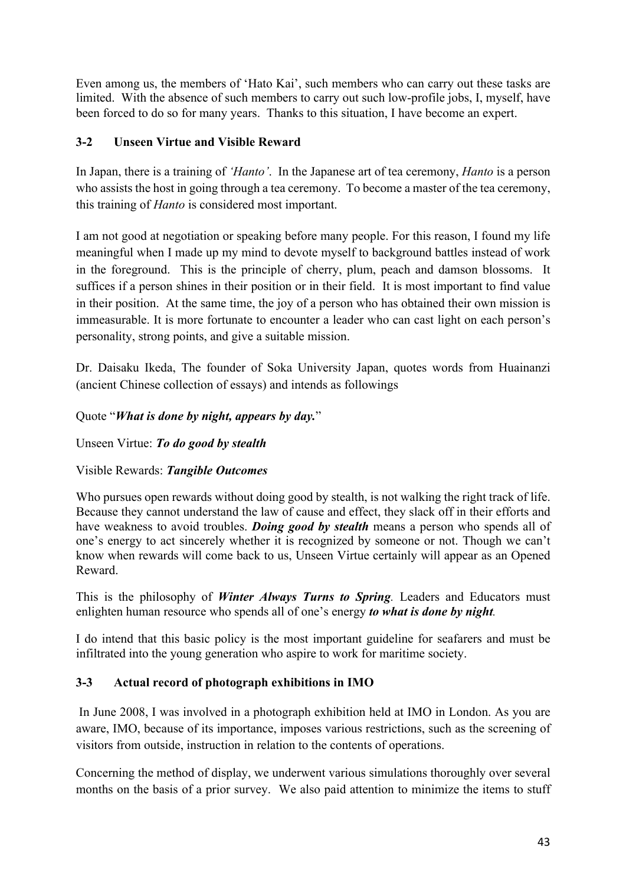Even among us, the members of 'Hato Kai', such members who can carry out these tasks are limited. With the absence of such members to carry out such low-profile jobs, I, myself, have been forced to do so for many years. Thanks to this situation, I have become an expert.

### **3-2 Unseen Virtue and Visible Reward**

In Japan, there is a training of *'Hanto'*. In the Japanese art of tea ceremony, *Hanto* is a person who assists the host in going through a tea ceremony. To become a master of the tea ceremony, this training of *Hanto* is considered most important.

I am not good at negotiation or speaking before many people. For this reason, I found my life meaningful when I made up my mind to devote myself to background battles instead of work in the foreground. This is the principle of cherry, plum, peach and damson blossoms. It suffices if a person shines in their position or in their field. It is most important to find value in their position. At the same time, the joy of a person who has obtained their own mission is immeasurable. It is more fortunate to encounter a leader who can cast light on each person's personality, strong points, and give a suitable mission.

Dr. Daisaku Ikeda, The founder of Soka University Japan, quotes words from Huainanzi (ancient Chinese collection of essays) and intends as followings

### Quote "*What is done by night, appears by day.*"

Unseen Virtue: *To do good by stealth*

Visible Rewards: *Tangible Outcomes*

Who pursues open rewards without doing good by stealth, is not walking the right track of life. Because they cannot understand the law of cause and effect, they slack off in their efforts and have weakness to avoid troubles. *Doing good by stealth* means a person who spends all of one's energy to act sincerely whether it is recognized by someone or not. Though we can't know when rewards will come back to us, Unseen Virtue certainly will appear as an Opened Reward.

This is the philosophy of *Winter Always Turns to Spring.* Leaders and Educators must enlighten human resource who spends all of one's energy *to what is done by night.* 

I do intend that this basic policy is the most important guideline for seafarers and must be infiltrated into the young generation who aspire to work for maritime society.

## **3-3 Actual record of photograph exhibitions in IMO**

 In June 2008, I was involved in a photograph exhibition held at IMO in London. As you are aware, IMO, because of its importance, imposes various restrictions, such as the screening of visitors from outside, instruction in relation to the contents of operations.

Concerning the method of display, we underwent various simulations thoroughly over several months on the basis of a prior survey. We also paid attention to minimize the items to stuff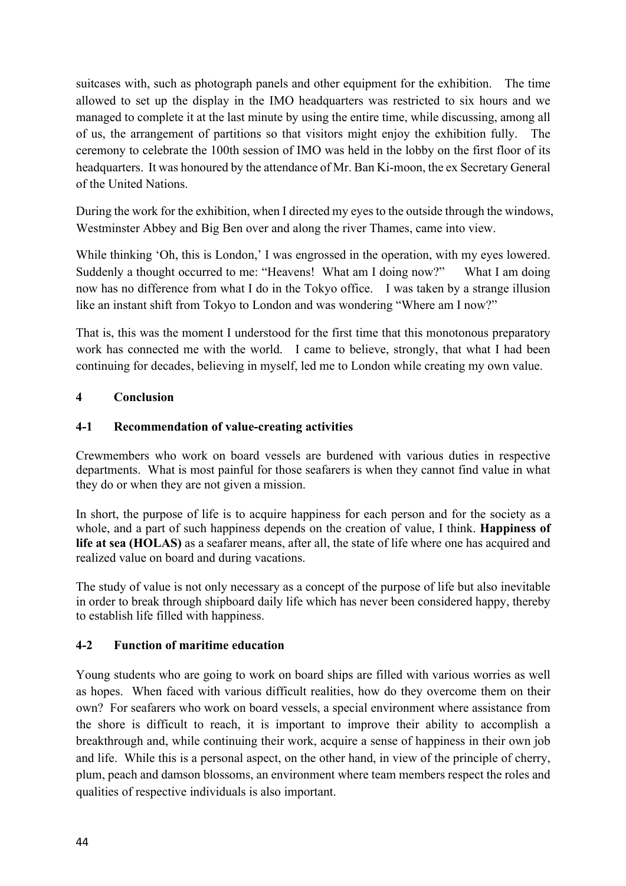suitcases with, such as photograph panels and other equipment for the exhibition. The time allowed to set up the display in the IMO headquarters was restricted to six hours and we managed to complete it at the last minute by using the entire time, while discussing, among all of us, the arrangement of partitions so that visitors might enjoy the exhibition fully. The ceremony to celebrate the 100th session of IMO was held in the lobby on the first floor of its headquarters. It was honoured by the attendance of Mr. Ban Ki-moon, the ex Secretary General of the United Nations.

During the work for the exhibition, when I directed my eyes to the outside through the windows, Westminster Abbey and Big Ben over and along the river Thames, came into view.

While thinking 'Oh, this is London,' I was engrossed in the operation, with my eyes lowered. Suddenly a thought occurred to me: "Heavens! What am I doing now?" What I am doing now has no difference from what I do in the Tokyo office. I was taken by a strange illusion like an instant shift from Tokyo to London and was wondering "Where am I now?"

That is, this was the moment I understood for the first time that this monotonous preparatory work has connected me with the world. I came to believe, strongly, that what I had been continuing for decades, believing in myself, led me to London while creating my own value.

### **4 Conclusion**

#### **4-1 Recommendation of value-creating activities**

Crewmembers who work on board vessels are burdened with various duties in respective departments. What is most painful for those seafarers is when they cannot find value in what they do or when they are not given a mission.

In short, the purpose of life is to acquire happiness for each person and for the society as a whole, and a part of such happiness depends on the creation of value, I think. **Happiness of life at sea (HOLAS)** as a seafarer means, after all, the state of life where one has acquired and realized value on board and during vacations.

The study of value is not only necessary as a concept of the purpose of life but also inevitable in order to break through shipboard daily life which has never been considered happy, thereby to establish life filled with happiness.

### **4-2 Function of maritime education**

Young students who are going to work on board ships are filled with various worries as well as hopes. When faced with various difficult realities, how do they overcome them on their own? For seafarers who work on board vessels, a special environment where assistance from the shore is difficult to reach, it is important to improve their ability to accomplish a breakthrough and, while continuing their work, acquire a sense of happiness in their own job and life. While this is a personal aspect, on the other hand, in view of the principle of cherry, plum, peach and damson blossoms, an environment where team members respect the roles and qualities of respective individuals is also important.